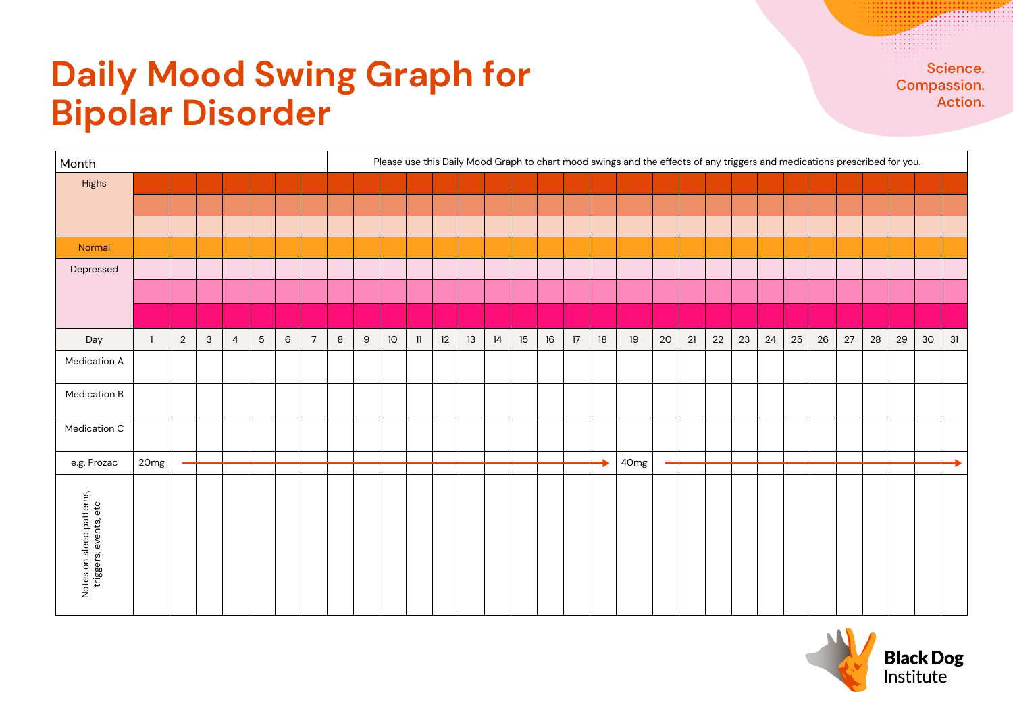## **Daily Mood Swing Graph for Bipolar Disorder**

Science. Compassion. Action.

| Month                                             |                |                |              |                |                 |        |                |         | Please use this Daily Mood Graph to chart mood swings and the effects of any triggers and medications prescribed for you. |      |    |    |        |      |    |    |    |    |                  |    |    |    |    |    |        |    |        |    |    |    |    |
|---------------------------------------------------|----------------|----------------|--------------|----------------|-----------------|--------|----------------|---------|---------------------------------------------------------------------------------------------------------------------------|------|----|----|--------|------|----|----|----|----|------------------|----|----|----|----|----|--------|----|--------|----|----|----|----|
| Highs                                             |                |                |              |                |                 |        |                |         |                                                                                                                           |      |    |    |        |      |    |    |    |    |                  |    |    |    |    |    |        |    |        |    |    |    |    |
|                                                   |                |                |              |                |                 |        |                |         |                                                                                                                           |      |    |    |        |      |    |    |    |    |                  |    |    |    |    |    |        |    |        |    |    |    |    |
|                                                   |                |                |              |                |                 |        |                |         |                                                                                                                           |      |    |    |        |      |    |    |    |    |                  |    |    |    |    |    |        |    |        |    |    |    |    |
| Normal                                            |                |                |              |                |                 |        |                |         |                                                                                                                           |      |    |    |        |      |    |    |    |    |                  |    |    |    |    |    |        |    |        |    |    |    |    |
| Depressed                                         |                |                |              |                |                 |        |                |         |                                                                                                                           |      |    |    |        |      |    |    |    |    |                  |    |    |    |    |    |        |    |        |    |    |    |    |
|                                                   |                |                |              |                |                 |        |                |         |                                                                                                                           |      |    |    |        |      |    |    |    |    |                  |    |    |    |    |    |        |    |        |    |    |    |    |
|                                                   |                |                |              |                |                 |        |                |         |                                                                                                                           |      |    |    |        |      |    |    |    |    |                  |    |    |    |    |    |        |    |        |    |    |    |    |
| Day                                               | $\overline{1}$ | $\overline{2}$ | $\mathbf{3}$ | $\overline{4}$ | $5\phantom{.0}$ | $\,$ 6 | $\overline{7}$ | $\,8\,$ | $\boldsymbol{9}$                                                                                                          | $10$ | 11 | 12 | $13\,$ | $14$ | 15 | 16 | 17 | 18 | 19               | 20 | 21 | 22 | 23 | 24 | $25\,$ | 26 | $27\,$ | 28 | 29 | 30 | 31 |
| Medication A                                      |                |                |              |                |                 |        |                |         |                                                                                                                           |      |    |    |        |      |    |    |    |    |                  |    |    |    |    |    |        |    |        |    |    |    |    |
| Medication B                                      |                |                |              |                |                 |        |                |         |                                                                                                                           |      |    |    |        |      |    |    |    |    |                  |    |    |    |    |    |        |    |        |    |    |    |    |
| Medication C                                      |                |                |              |                |                 |        |                |         |                                                                                                                           |      |    |    |        |      |    |    |    |    |                  |    |    |    |    |    |        |    |        |    |    |    |    |
| e.g. Prozac                                       | 20mg           |                |              |                |                 |        |                |         |                                                                                                                           |      |    |    |        |      |    |    |    |    | 40 <sub>mg</sub> |    |    |    |    |    |        |    |        |    |    |    |    |
| Notes on sleep patterns,<br>triggers, events, etc |                |                |              |                |                 |        |                |         |                                                                                                                           |      |    |    |        |      |    |    |    |    |                  |    |    |    |    |    |        |    |        |    |    |    |    |